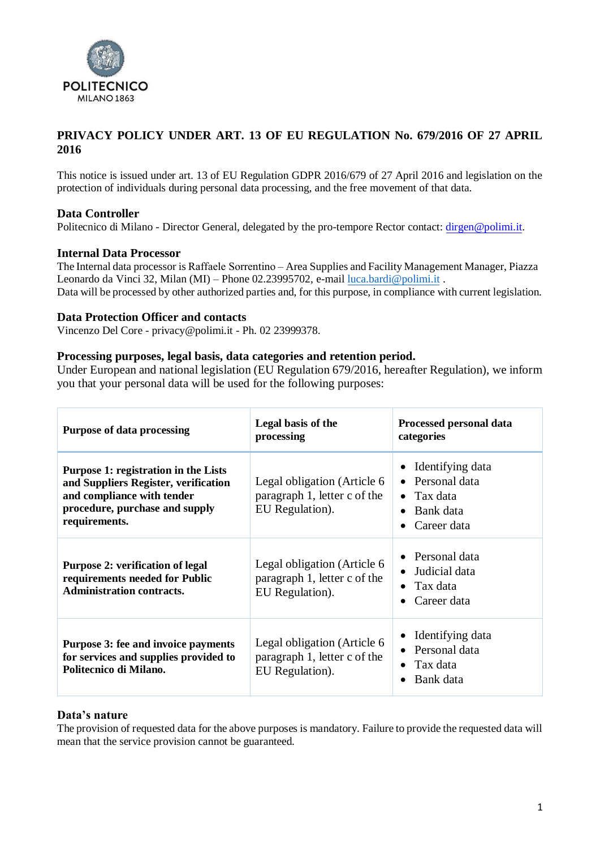

# **PRIVACY POLICY UNDER ART. 13 OF EU REGULATION No. 679/2016 OF 27 APRIL 2016**

This notice is issued under art. 13 of EU Regulation GDPR 2016/679 of 27 April 2016 and legislation on the protection of individuals during personal data processing, and the free movement of that data.

# **Data Controller**

Politecnico di Milano - Director General, delegated by the pro-tempore Rector contact: [dirgen@polimi.it.](mailto:dirgen@polimi.it)

#### **Internal Data Processor**

The Internal data processor is Raffaele Sorrentino – Area Supplies and Facility Management Manager, Piazza Leonardo da Vinci 32, Milan (MI) – Phone 02.23995702, e-mail [luca.bardi@polimi.it](mailto:luca.bardi@polimi.it) . Data will be processed by other authorized parties and, for this purpose, in compliance with current legislation.

#### **Data Protection Officer and contacts**

Vincenzo Del Core - [privacy@polimi.it](mailto:privacy@polmi.it) - Ph. 02 23999378.

#### **Processing purposes, legal basis, data categories and retention period.**

Under European and national legislation (EU Regulation 679/2016, hereafter Regulation), we inform you that your personal data will be used for the following purposes:

| <b>Purpose of data processing</b>                                                                                                                             | Legal basis of the<br>processing                                               | Processed personal data<br>categories                                                         |
|---------------------------------------------------------------------------------------------------------------------------------------------------------------|--------------------------------------------------------------------------------|-----------------------------------------------------------------------------------------------|
| Purpose 1: registration in the Lists<br>and Suppliers Register, verification<br>and compliance with tender<br>procedure, purchase and supply<br>requirements. | Legal obligation (Article 6<br>paragraph 1, letter c of the<br>EU Regulation). | Identifying data<br>Personal data<br>Tax data<br>Bank data<br>Career data<br>$\bullet$        |
| <b>Purpose 2: verification of legal</b><br>requirements needed for Public<br><b>Administration contracts.</b>                                                 | Legal obligation (Article 6<br>paragraph 1, letter c of the<br>EU Regulation). | Personal data<br>Judicial data<br>$\bullet$<br>$\bullet$ Tax data<br>Career data<br>$\bullet$ |
| Purpose 3: fee and invoice payments<br>for services and supplies provided to<br>Politecnico di Milano.                                                        | Legal obligation (Article 6<br>paragraph 1, letter c of the<br>EU Regulation). | Identifying data<br>Personal data<br>Tax data<br>Bank data                                    |

# **Data's nature**

The provision of requested data for the above purposes is mandatory. Failure to provide the requested data will mean that the service provision cannot be guaranteed.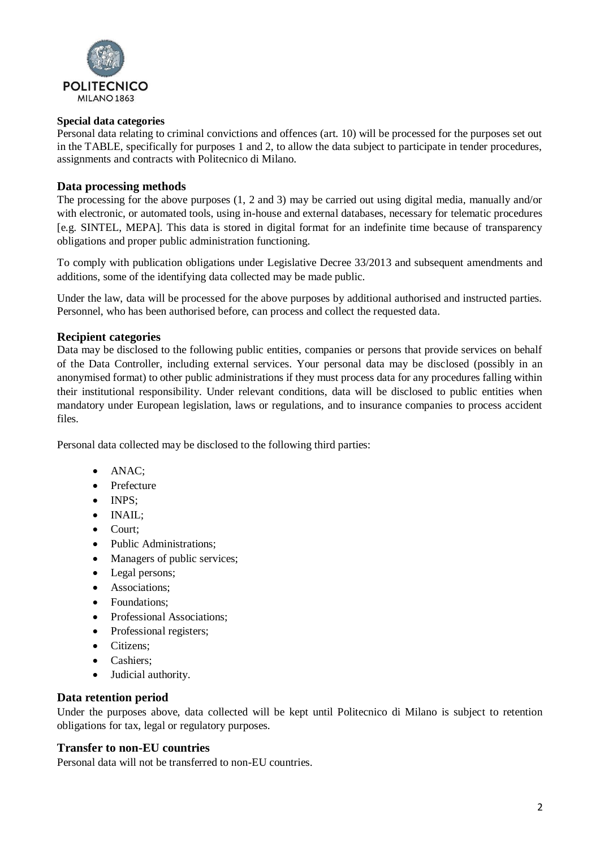

### **Special data categories**

Personal data relating to criminal convictions and offences (art. 10) will be processed for the purposes set out in the TABLE, specifically for purposes 1 and 2, to allow the data subject to participate in tender procedures, assignments and contracts with Politecnico di Milano.

# **Data processing methods**

The processing for the above purposes (1, 2 and 3) may be carried out using digital media, manually and/or with electronic, or automated tools, using in-house and external databases, necessary for telematic procedures [e.g. SINTEL, MEPA]. This data is stored in digital format for an indefinite time because of transparency obligations and proper public administration functioning.

To comply with publication obligations under Legislative Decree 33/2013 and subsequent amendments and additions, some of the identifying data collected may be made public.

Under the law, data will be processed for the above purposes by additional authorised and instructed parties. Personnel, who has been authorised before, can process and collect the requested data.

#### **Recipient categories**

Data may be disclosed to the following public entities, companies or persons that provide services on behalf of the Data Controller, including external services. Your personal data may be disclosed (possibly in an anonymised format) to other public administrations if they must process data for any procedures falling within their institutional responsibility. Under relevant conditions, data will be disclosed to public entities when mandatory under European legislation, laws or regulations, and to insurance companies to process accident files.

Personal data collected may be disclosed to the following third parties:

- ANAC;
- Prefecture
- INPS:
- INAIL;
- Court;
- Public Administrations;
- Managers of public services;
- Legal persons;
- Associations;
- Foundations;
- Professional Associations;
- Professional registers;
- Citizens;
- Cashiers;
- Judicial authority.

#### **Data retention period**

Under the purposes above, data collected will be kept until Politecnico di Milano is subject to retention obligations for tax, legal or regulatory purposes.

# **Transfer to non-EU countries**

Personal data will not be transferred to non-EU countries.